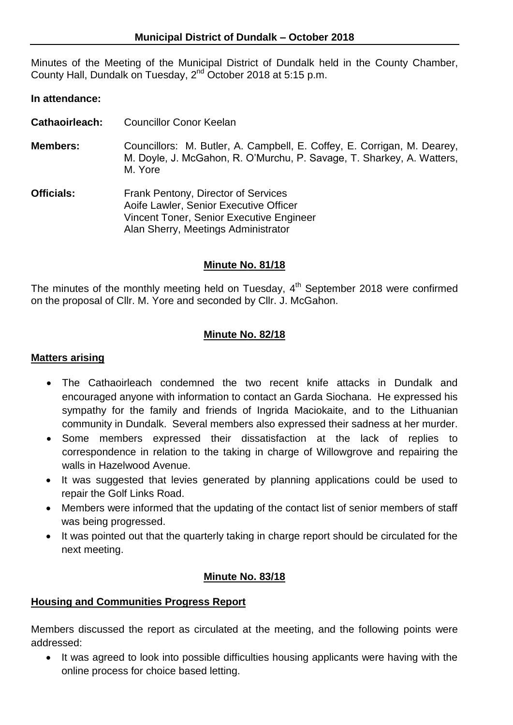Minutes of the Meeting of the Municipal District of Dundalk held in the County Chamber, County Hall, Dundalk on Tuesday, 2<sup>nd</sup> October 2018 at 5:15 p.m.

### **In attendance:**

- **Cathaoirleach:** Councillor Conor Keelan
- **Members:** Councillors: M. Butler, A. Campbell, E. Coffey, E. Corrigan, M. Dearey, M. Doyle, J. McGahon, R. O'Murchu, P. Savage, T. Sharkey, A. Watters, M. Yore
- **Officials:** Frank Pentony, Director of Services Aoife Lawler, Senior Executive Officer Vincent Toner, Senior Executive Engineer Alan Sherry, Meetings Administrator

### **Minute No. 81/18**

The minutes of the monthly meeting held on Tuesday,  $4<sup>th</sup>$  September 2018 were confirmed on the proposal of Cllr. M. Yore and seconded by Cllr. J. McGahon.

### **Minute No. 82/18**

### **Matters arising**

- The Cathaoirleach condemned the two recent knife attacks in Dundalk and encouraged anyone with information to contact an Garda Siochana. He expressed his sympathy for the family and friends of Ingrida Maciokaite, and to the Lithuanian community in Dundalk. Several members also expressed their sadness at her murder.
- Some members expressed their dissatisfaction at the lack of replies to correspondence in relation to the taking in charge of Willowgrove and repairing the walls in Hazelwood Avenue.
- It was suggested that levies generated by planning applications could be used to repair the Golf Links Road.
- Members were informed that the updating of the contact list of senior members of staff was being progressed.
- It was pointed out that the quarterly taking in charge report should be circulated for the next meeting.

### **Minute No. 83/18**

### **Housing and Communities Progress Report**

Members discussed the report as circulated at the meeting, and the following points were addressed:

• It was agreed to look into possible difficulties housing applicants were having with the online process for choice based letting.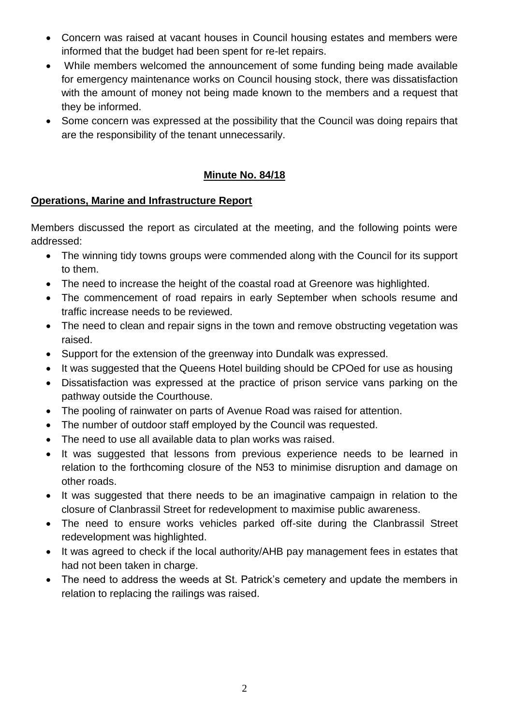- Concern was raised at vacant houses in Council housing estates and members were informed that the budget had been spent for re-let repairs.
- While members welcomed the announcement of some funding being made available for emergency maintenance works on Council housing stock, there was dissatisfaction with the amount of money not being made known to the members and a request that they be informed.
- Some concern was expressed at the possibility that the Council was doing repairs that are the responsibility of the tenant unnecessarily.

## **Minute No. 84/18**

# **Operations, Marine and Infrastructure Report**

Members discussed the report as circulated at the meeting, and the following points were addressed:

- The winning tidy towns groups were commended along with the Council for its support to them.
- The need to increase the height of the coastal road at Greenore was highlighted.
- The commencement of road repairs in early September when schools resume and traffic increase needs to be reviewed.
- The need to clean and repair signs in the town and remove obstructing vegetation was raised.
- Support for the extension of the greenway into Dundalk was expressed.
- It was suggested that the Queens Hotel building should be CPOed for use as housing
- Dissatisfaction was expressed at the practice of prison service vans parking on the pathway outside the Courthouse.
- The pooling of rainwater on parts of Avenue Road was raised for attention.
- The number of outdoor staff employed by the Council was requested.
- The need to use all available data to plan works was raised.
- It was suggested that lessons from previous experience needs to be learned in relation to the forthcoming closure of the N53 to minimise disruption and damage on other roads.
- It was suggested that there needs to be an imaginative campaign in relation to the closure of Clanbrassil Street for redevelopment to maximise public awareness.
- The need to ensure works vehicles parked off-site during the Clanbrassil Street redevelopment was highlighted.
- It was agreed to check if the local authority/AHB pay management fees in estates that had not been taken in charge.
- The need to address the weeds at St. Patrick's cemetery and update the members in relation to replacing the railings was raised.